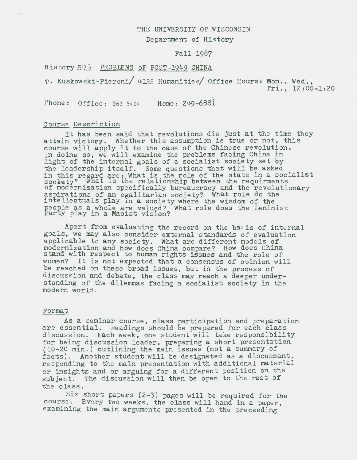#### THE UNIVERSITY OF WISCONSIN

Department of History

#### Fall 1987

# History 573 PROBLEMS OF POST-1949 CHINA

T. Kuskowski-Pieroni/ 4122 Humanities/ Office Hours: Mon., Wed., Fri., 12:00-1:20

Phone: Office: 263-5424 Home: 249-6881

## Course Description

''

It has been said that revolutions die just at the time they attain victory. Whether this assumption is true or not, this course will apply it to the case of the Chinese revolution. In doing so, we will examine the problems facing China in light of the internal goals of a socialist society set by the leadership itself. Some questions that will be asked in this regard are: What is the role of the state in a socialist society? What is the relationship between the requirments of modernization specifically bureaucracy and the revolutionary aspirations of an egalitarian society? What role do the intellectuals play 1n a society where the wisdom of the people as a whole are valued? What role does the Leninist probing the middle are valued:<br>Party play in a Maoist vision?

Apart from evaluating the record on the basis of internal goals, we may also consider external standards of evaluation applicable to any society. What are different models of modernization and how does China compare? How does China stand with respect to human rights issues and the role of women? It is not expected that a consensus of opinion will be reached on these broad issues, but in the process of discussion and debate, the class may reach a deeper understanding of the dilemmas facing a socialist society in the modern world.

## Format

As a seminar course, class participation and preparation are essential. Readings should be prepared for each class discussion. Each week, one student will take responsibility for being discussion leader, preparing a short presentation (10-20 min.) outlining the main issues (not a summary of facts). Another student will be designated as a discussant, responding to the main presentation with additional material or insights and or arguing for a different position on the subject. The discussion will then be open to the rest of the class.

Six short papers (2-J) pages will be required for the course. Every two weeks, the class will hand in a paper, examining the main arguments presented in the preceeding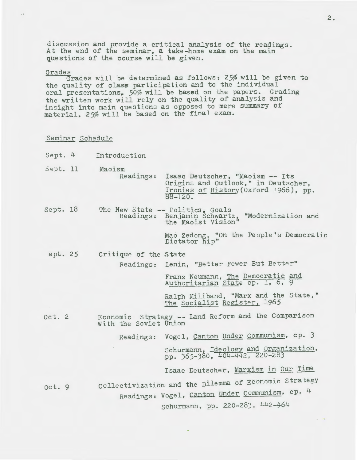discussion and provide a critical analysis of the readings. At the end of the seminar, a take-home exam on the main questions of the course will be given.

## Grades

Grades will be determined as follows: 25% will be given to the quality of class participation and to the individual oral presentations. 50% will be based on the papers. Grading the written work will rely on the quality of analysis and insight into main questions as opposed to mere summary of material, 25% will be based on the final exam.

#### Seminar Schedule

- Sept. 4 Introduction
- Sept. 11 Maoism<br>Readings: Isaac Deutscher, "Maoism -- Its Origins and Outlook," in Deutscher, Ironies of History(Oxford 1966), pp.  $88-120$ .
- Sept. 18 The New State -- Politics, Goals Readings: Benjamin Schwartz, "Modernization and the Maoist Vision"

Mao Zedong, "On the People's Democratic Dictator hip"

ept. *25*  Critique of the state Beadings: Lenin, "Better Fewer But Better"

Franz Neumann, The Democratic and<br>Authoritarian State cp. 1, 6, 9

Ralph Miliband, "Marx and the State," The Socialist Register, 1965

Oct. *2*  Economic Strategy -- Land Reform and the Comparison With the Soviet Union

Readings: Vogel, Canton Under Communism, cp. J

Schurmann, Ideology and Organization, pp. J65-J80, 404- 2, *220-28)* 

Isaac Deutscher, Marxism in Our Time

oct. 9 collectivization and the Dilemma of ECOnomic strategy Readings: vogel, canton under Communism, cp. 4

schurmann, pp. 220-283, 442-464

2.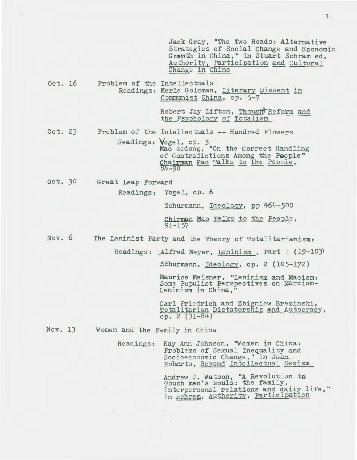Jack Gray, "The Two Roads: Alternative Strategies of Social Change and Economic Growth in China," in Stuart Schram ed. Authority, Participation and Cultural Change in China

Oct. 16 Problem of the Intellectuals Readings: Merle Goldman, Literary Dissent in Communist China, cp. 5-7

> Robert Jay Lifton, Though Reform and the Psychology of Totalism

Oct. 23 Problem of the Intellectuals -- Hundred Flowers

> Readings: Vogel, cp. *5*  Mao Zedong, "On the Correct Handling of Cantradictions Among the People" Chairman Mao Talks to the People, 4-90

Oct. 30 Great Leap Forward

Readings: Vogel, cp. 6

Schurmann, Ideology, pp 464-500

Chirman Mao Talks to the People, 91-157

Nov. 6 The Leninist Party and the Theory of Totalitarianism:

Readings: Alfred Meyer, Leninism, Part I (19-103)

Schurmann, Ideology, cp. 2 (105-172)

Maurice Meisner, "Leninism and Maoism: Some Populist Perspectives on Marxism-Leninism in China,"

Carl Friedrich and Zbigniew Brezinski,<br>Totalitarian Dictatorship and Autocracy, cp. 2  $(31-84)$ 

Nov. 13 Women and the Family in China

 $\bar{z}$ 

Readings: Kay Ann Johnson, ''Women in China: Problems of Sexual Inequality and Socioeconomic Change, " in Joan. Roberts, Beyond Intellectual Sexism

> Andrew J. Watson, "A Revolution to Touch men's souls: the family, Touch men's souls: the family, interpersonal relations and daily life," in Schram, Authority, Participation